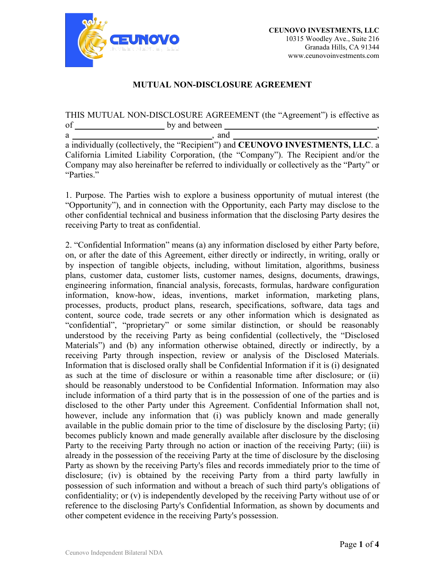

## **MUTUAL NON-DISCLOSURE AGREEMENT**

THIS MUTUAL NON-DISCLOSURE AGREEMENT (the "Agreement") is effective as of by and between

a **\_\_\_\_\_\_\_\_\_\_\_\_\_\_\_\_\_\_\_\_\_\_\_\_\_\_\_\_\_\_\_\_**, and **\_\_\_\_\_\_\_\_\_\_\_\_\_\_\_\_\_\_\_\_\_\_\_\_\_\_\_\_\_\_\_\_\_**, a individually (collectively, the "Recipient") and **CEUNOVO INVESTMENTS, LLC**. a California Limited Liability Corporation, (the "Company"). The Recipient and/or the Company may also hereinafter be referred to individually or collectively as the "Party" or "Parties."

1. Purpose. The Parties wish to explore a business opportunity of mutual interest (the "Opportunity"), and in connection with the Opportunity, each Party may disclose to the other confidential technical and business information that the disclosing Party desires the receiving Party to treat as confidential.

2. "Confidential Information" means (a) any information disclosed by either Party before, on, or after the date of this Agreement, either directly or indirectly, in writing, orally or by inspection of tangible objects, including, without limitation, algorithms, business plans, customer data, customer lists, customer names, designs, documents, drawings, engineering information, financial analysis, forecasts, formulas, hardware configuration information, know-how, ideas, inventions, market information, marketing plans, processes, products, product plans, research, specifications, software, data tags and content, source code, trade secrets or any other information which is designated as "confidential", "proprietary" or some similar distinction, or should be reasonably understood by the receiving Party as being confidential (collectively, the "Disclosed Materials") and (b) any information otherwise obtained, directly or indirectly, by a receiving Party through inspection, review or analysis of the Disclosed Materials. Information that is disclosed orally shall be Confidential Information if it is (i) designated as such at the time of disclosure or within a reasonable time after disclosure; or (ii) should be reasonably understood to be Confidential Information. Information may also include information of a third party that is in the possession of one of the parties and is disclosed to the other Party under this Agreement. Confidential Information shall not, however, include any information that (i) was publicly known and made generally available in the public domain prior to the time of disclosure by the disclosing Party; (ii) becomes publicly known and made generally available after disclosure by the disclosing Party to the receiving Party through no action or inaction of the receiving Party; (iii) is already in the possession of the receiving Party at the time of disclosure by the disclosing Party as shown by the receiving Party's files and records immediately prior to the time of disclosure; (iv) is obtained by the receiving Party from a third party lawfully in possession of such information and without a breach of such third party's obligations of confidentiality; or (v) is independently developed by the receiving Party without use of or reference to the disclosing Party's Confidential Information, as shown by documents and other competent evidence in the receiving Party's possession.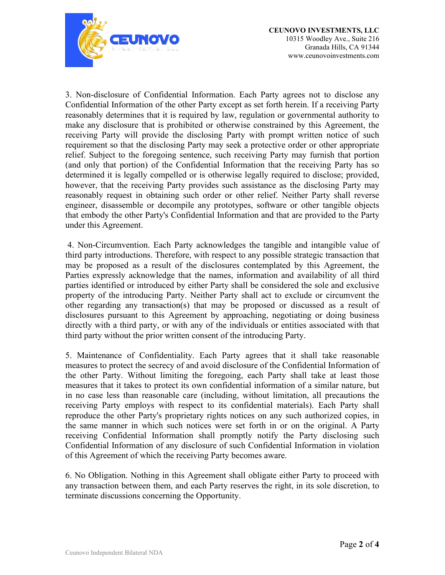

3. Non-disclosure of Confidential Information. Each Party agrees not to disclose any Confidential Information of the other Party except as set forth herein. If a receiving Party reasonably determines that it is required by law, regulation or governmental authority to make any disclosure that is prohibited or otherwise constrained by this Agreement, the receiving Party will provide the disclosing Party with prompt written notice of such requirement so that the disclosing Party may seek a protective order or other appropriate relief. Subject to the foregoing sentence, such receiving Party may furnish that portion (and only that portion) of the Confidential Information that the receiving Party has so determined it is legally compelled or is otherwise legally required to disclose; provided, however, that the receiving Party provides such assistance as the disclosing Party may reasonably request in obtaining such order or other relief. Neither Party shall reverse engineer, disassemble or decompile any prototypes, software or other tangible objects that embody the other Party's Confidential Information and that are provided to the Party under this Agreement.

4. Non-Circumvention. Each Party acknowledges the tangible and intangible value of third party introductions. Therefore, with respect to any possible strategic transaction that may be proposed as a result of the disclosures contemplated by this Agreement, the Parties expressly acknowledge that the names, information and availability of all third parties identified or introduced by either Party shall be considered the sole and exclusive property of the introducing Party. Neither Party shall act to exclude or circumvent the other regarding any transaction(s) that may be proposed or discussed as a result of disclosures pursuant to this Agreement by approaching, negotiating or doing business directly with a third party, or with any of the individuals or entities associated with that third party without the prior written consent of the introducing Party.

5. Maintenance of Confidentiality. Each Party agrees that it shall take reasonable measures to protect the secrecy of and avoid disclosure of the Confidential Information of the other Party. Without limiting the foregoing, each Party shall take at least those measures that it takes to protect its own confidential information of a similar nature, but in no case less than reasonable care (including, without limitation, all precautions the receiving Party employs with respect to its confidential materials). Each Party shall reproduce the other Party's proprietary rights notices on any such authorized copies, in the same manner in which such notices were set forth in or on the original. A Party receiving Confidential Information shall promptly notify the Party disclosing such Confidential Information of any disclosure of such Confidential Information in violation of this Agreement of which the receiving Party becomes aware.

6. No Obligation. Nothing in this Agreement shall obligate either Party to proceed with any transaction between them, and each Party reserves the right, in its sole discretion, to terminate discussions concerning the Opportunity.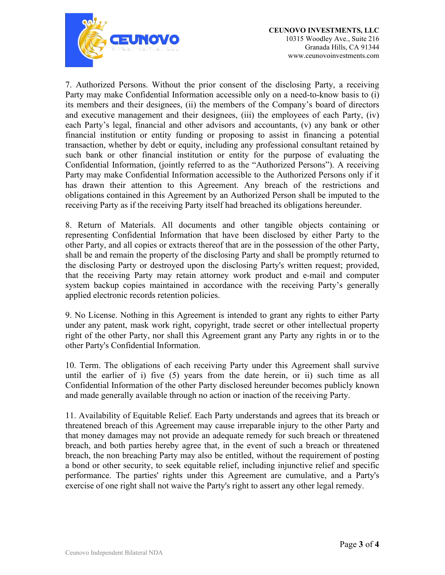

7. Authorized Persons. Without the prior consent of the disclosing Party, a receiving Party may make Confidential Information accessible only on a need-to-know basis to (i) its members and their designees, (ii) the members of the Company's board of directors and executive management and their designees, (iii) the employees of each Party, (iv) each Party's legal, financial and other advisors and accountants, (v) any bank or other financial institution or entity funding or proposing to assist in financing a potential transaction, whether by debt or equity, including any professional consultant retained by such bank or other financial institution or entity for the purpose of evaluating the Confidential Information, (jointly referred to as the "Authorized Persons"). A receiving Party may make Confidential Information accessible to the Authorized Persons only if it has drawn their attention to this Agreement. Any breach of the restrictions and obligations contained in this Agreement by an Authorized Person shall be imputed to the receiving Party as if the receiving Party itself had breached its obligations hereunder.

8. Return of Materials. All documents and other tangible objects containing or representing Confidential Information that have been disclosed by either Party to the other Party, and all copies or extracts thereof that are in the possession of the other Party, shall be and remain the property of the disclosing Party and shall be promptly returned to the disclosing Party or destroyed upon the disclosing Party's written request; provided, that the receiving Party may retain attorney work product and e-mail and computer system backup copies maintained in accordance with the receiving Party's generally applied electronic records retention policies.

9. No License. Nothing in this Agreement is intended to grant any rights to either Party under any patent, mask work right, copyright, trade secret or other intellectual property right of the other Party, nor shall this Agreement grant any Party any rights in or to the other Party's Confidential Information.

10. Term. The obligations of each receiving Party under this Agreement shall survive until the earlier of i) five (5) years from the date herein, or ii) such time as all Confidential Information of the other Party disclosed hereunder becomes publicly known and made generally available through no action or inaction of the receiving Party.

11. Availability of Equitable Relief. Each Party understands and agrees that its breach or threatened breach of this Agreement may cause irreparable injury to the other Party and that money damages may not provide an adequate remedy for such breach or threatened breach, and both parties hereby agree that, in the event of such a breach or threatened breach, the non breaching Party may also be entitled, without the requirement of posting a bond or other security, to seek equitable relief, including injunctive relief and specific performance. The parties' rights under this Agreement are cumulative, and a Party's exercise of one right shall not waive the Party's right to assert any other legal remedy.